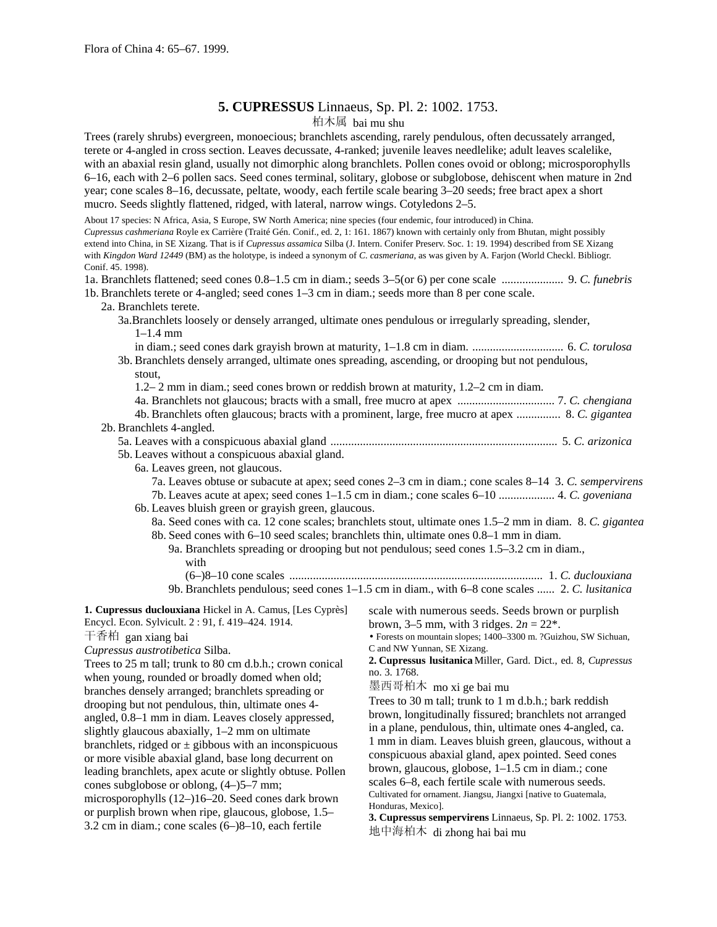## **5. CUPRESSUS** Linnaeus, Sp. Pl. 2: 1002. 1753.

## 柏木属 bai mu shu

Trees (rarely shrubs) evergreen, monoecious; branchlets ascending, rarely pendulous, often decussately arranged, terete or 4-angled in cross section. Leaves decussate, 4-ranked; juvenile leaves needlelike; adult leaves scalelike, with an abaxial resin gland, usually not dimorphic along branchlets. Pollen cones ovoid or oblong; microsporophylls 6–16, each with 2–6 pollen sacs. Seed cones terminal, solitary, globose or subglobose, dehiscent when mature in 2nd year; cone scales 8–16, decussate, peltate, woody, each fertile scale bearing 3–20 seeds; free bract apex a short mucro. Seeds slightly flattened, ridged, with lateral, narrow wings. Cotyledons 2–5.

About 17 species: N Africa, Asia, S Europe, SW North America; nine species (four endemic, four introduced) in China. *Cupressus cashmeriana* Royle ex Carrière (Traité Gén. Conif., ed. 2, 1: 161. 1867) known with certainly only from Bhutan, might possibly extend into China, in SE Xizang. That is if *Cupressus assamica* Silba (J. Intern. Conifer Preserv. Soc. 1: 19. 1994) described from SE Xizang with *Kingdon Ward 12449* (BM) as the holotype, is indeed a synonym of *C. casmeriana,* as was given by A. Farjon (World Checkl. Bibliogr. Conif. 45. 1998).

1a. Branchlets flattened; seed cones 0.8–1.5 cm in diam.; seeds 3–5(or 6) per cone scale ..................... 9. *C. funebris* 1b. Branchlets terete or 4-angled; seed cones 1–3 cm in diam.; seeds more than 8 per cone scale.

2a. Branchlets terete.

3a.Branchlets loosely or densely arranged, ultimate ones pendulous or irregularly spreading, slender, 1–1.4 mm

in diam.; seed cones dark grayish brown at maturity, 1–1.8 cm in diam. ............................... 6. *C. torulosa* 3b. Branchlets densely arranged, ultimate ones spreading, ascending, or drooping but not pendulous, stout,

1.2– 2 mm in diam.; seed cones brown or reddish brown at maturity, 1.2–2 cm in diam.

| 4b. Branchlets often glaucous; bracts with a prominent, large, free mucro at apex  8. C. gigantea      |  |
|--------------------------------------------------------------------------------------------------------|--|
| 2b. Branchlets 4-angled.                                                                               |  |
|                                                                                                        |  |
| 5b. Leaves without a conspicuous abaxial gland.                                                        |  |
| 6a. Leaves green, not glaucous.                                                                        |  |
| 7a. Leaves obtuse or subacute at apex; seed cones 2–3 cm in diam.; cone scales 8–14 3. C. sempervirens |  |

7b. Leaves acute at apex; seed cones 1–1.5 cm in diam.; cone scales 6–10 ................... 4. *C. goveniana*

- 6b. Leaves bluish green or grayish green, glaucous.
	- 8a. Seed cones with ca. 12 cone scales; branchlets stout, ultimate ones 1.5–2 mm in diam. 8. *C. gigantea* 8b. Seed cones with 6–10 seed scales; branchlets thin, ultimate ones 0.8–1 mm in diam.
		- 9a. Branchlets spreading or drooping but not pendulous; seed cones 1.5–3.2 cm in diam., with
		- (6–)8–10 cone scales ...................................................................................... 1. *C. duclouxiana* 9b. Branchlets pendulous; seed cones 1–1.5 cm in diam., with 6–8 cone scales ...... 2. *C. lusitanica*

**1. Cupressus duclouxiana** Hickel in A. Camus, [Les Cyprès] Encycl. Econ. Sylvicult. 2 : 91, f. 419–424. 1914.

干香柏 gan xiang bai

*Cupressus austrotibetica* Silba.

Trees to 25 m tall; trunk to 80 cm d.b.h.; crown conical when young, rounded or broadly domed when old; branches densely arranged; branchlets spreading or drooping but not pendulous, thin, ultimate ones 4 angled, 0.8–1 mm in diam. Leaves closely appressed, slightly glaucous abaxially, 1–2 mm on ultimate branchlets, ridged or  $\pm$  gibbous with an inconspicuous or more visible abaxial gland, base long decurrent on leading branchlets, apex acute or slightly obtuse. Pollen cones subglobose or oblong, (4–)5–7 mm; microsporophylls (12–)16–20. Seed cones dark brown or purplish brown when ripe, glaucous, globose, 1.5– 3.2 cm in diam.; cone scales (6–)8–10, each fertile

scale with numerous seeds. Seeds brown or purplish brown, 3–5 mm, with 3 ridges.  $2n = 22^*$ .

• Forests on mountain slopes; 1400–3300 m. ?Guizhou, SW Sichuan, C and NW Yunnan, SE Xizang.

**2. Cupressus lusitanica** Miller, Gard. Dict., ed. 8, *Cupressus* no. 3. 1768.

墨西哥柏木 mo xi ge bai mu

Trees to 30 m tall; trunk to 1 m d.b.h.; bark reddish brown, longitudinally fissured; branchlets not arranged in a plane, pendulous, thin, ultimate ones 4-angled, ca. 1 mm in diam. Leaves bluish green, glaucous, without a conspicuous abaxial gland, apex pointed. Seed cones brown, glaucous, globose, 1–1.5 cm in diam.; cone scales 6–8, each fertile scale with numerous seeds. Cultivated for ornament. Jiangsu, Jiangxi [native to Guatemala, Honduras, Mexico].

**3. Cupressus sempervirens** Linnaeus, Sp. Pl. 2: 1002. 1753. 地中海柏木 di zhong hai bai mu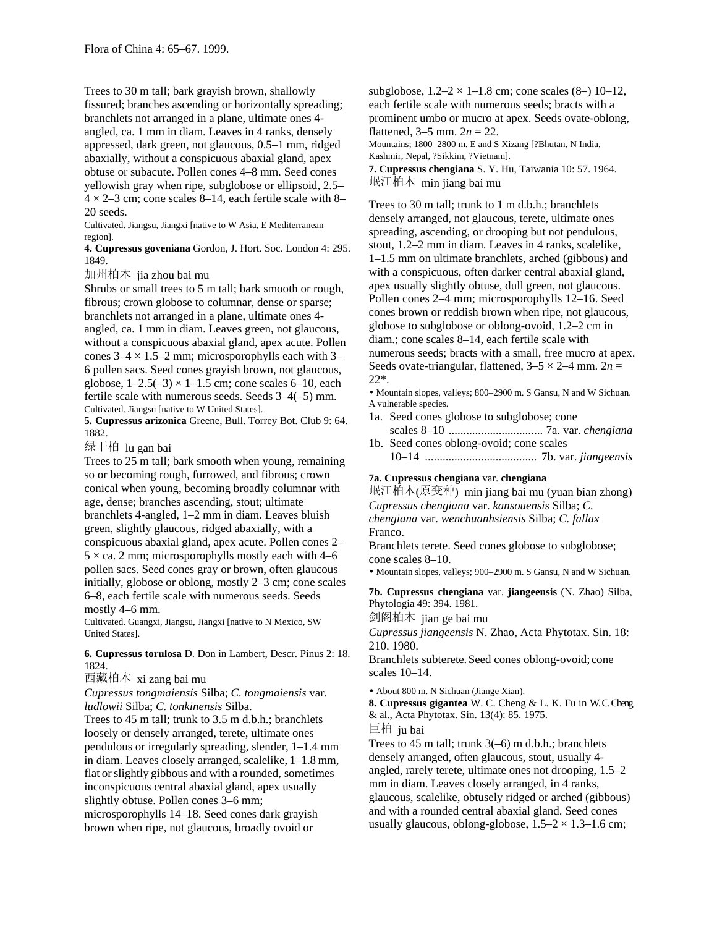Trees to 30 m tall; bark grayish brown, shallowly fissured; branches ascending or horizontally spreading; branchlets not arranged in a plane, ultimate ones 4 angled, ca. 1 mm in diam. Leaves in 4 ranks, densely appressed, dark green, not glaucous, 0.5–1 mm, ridged abaxially, without a conspicuous abaxial gland, apex obtuse or subacute. Pollen cones 4–8 mm. Seed cones yellowish gray when ripe, subglobose or ellipsoid, 2.5–  $4 \times 2 - 3$  cm; cone scales 8–14, each fertile scale with 8– 20 seeds.

Cultivated. Jiangsu, Jiangxi [native to W Asia, E Mediterranean region].

**4. Cupressus goveniana** Gordon, J. Hort. Soc. London 4: 295. 1849.

加州柏木 jia zhou bai mu

Shrubs or small trees to 5 m tall; bark smooth or rough, fibrous; crown globose to columnar, dense or sparse; branchlets not arranged in a plane, ultimate ones 4 angled, ca. 1 mm in diam. Leaves green, not glaucous, without a conspicuous abaxial gland, apex acute. Pollen cones  $3-4 \times 1.5-2$  mm; microsporophylls each with 3-6 pollen sacs. Seed cones grayish brown, not glaucous, globose,  $1-2.5(-3) \times 1-1.5$  cm; cone scales 6-10, each fertile scale with numerous seeds. Seeds 3–4(–5) mm. Cultivated. Jiangsu [native to W United States].

**5. Cupressus arizonica** Greene, Bull. Torrey Bot. Club 9: 64. 1882.

绿干柏 lu gan bai

Trees to 25 m tall; bark smooth when young, remaining so or becoming rough, furrowed, and fibrous; crown conical when young, becoming broadly columnar with age, dense; branches ascending, stout; ultimate branchlets 4-angled, 1–2 mm in diam. Leaves bluish green, slightly glaucous, ridged abaxially, with a conspicuous abaxial gland, apex acute. Pollen cones 2–  $5 \times$  ca. 2 mm; microsporophylls mostly each with 4–6 pollen sacs. Seed cones gray or brown, often glaucous initially, globose or oblong, mostly 2–3 cm; cone scales 6–8, each fertile scale with numerous seeds. Seeds mostly 4–6 mm.

Cultivated. Guangxi, Jiangsu, Jiangxi [native to N Mexico, SW United States].

**6. Cupressus torulosa** D. Don in Lambert, Descr. Pinus 2: 18. 1824.

西藏柏木 xi zang bai mu

*Cupressus tongmaiensis* Silba; *C. tongmaiensis* var. *ludlowii* Silba; *C. tonkinensis* Silba.

Trees to 45 m tall; trunk to 3.5 m d.b.h.; branchlets loosely or densely arranged, terete, ultimate ones pendulous or irregularly spreading, slender, 1–1.4 mm in diam. Leaves closely arranged, scalelike,  $1-1.8$  mm, flat orslightly gibbous and with a rounded, sometimes inconspicuous central abaxial gland, apex usually slightly obtuse. Pollen cones 3–6 mm;

microsporophylls 14–18. Seed cones dark grayish brown when ripe, not glaucous, broadly ovoid or

subglobose,  $1.2-2 \times 1-1.8$  cm; cone scales  $(8-) 10-12$ , each fertile scale with numerous seeds; bracts with a prominent umbo or mucro at apex. Seeds ovate-oblong, flattened,  $3-5$  mm,  $2n = 22$ .

Mountains; 1800–2800 m. E and S Xizang [?Bhutan, N India, Kashmir, Nepal, ?Sikkim, ?Vietnam].

**7. Cupressus chengiana** S. Y. Hu, Taiwania 10: 57. 1964. 岷江柏木 min jiang bai mu

Trees to 30 m tall; trunk to 1 m d.b.h.; branchlets densely arranged, not glaucous, terete, ultimate ones spreading, ascending, or drooping but not pendulous, stout, 1.2–2 mm in diam. Leaves in 4 ranks, scalelike, 1–1.5 mm on ultimate branchlets, arched (gibbous) and with a conspicuous, often darker central abaxial gland, apex usually slightly obtuse, dull green, not glaucous. Pollen cones 2–4 mm; microsporophylls 12–16. Seed cones brown or reddish brown when ripe, not glaucous, globose to subglobose or oblong-ovoid, 1.2–2 cm in diam.; cone scales 8–14, each fertile scale with numerous seeds; bracts with a small, free mucro at apex. Seeds ovate-triangular, flattened,  $3-5 \times 2-4$  mm.  $2n =$ 22\*.

• Mountain slopes, valleys; 800–2900 m. S Gansu, N and W Sichuan. A vulnerable species.

- 1a. Seed cones globose to subglobose; cone
- scales 8–10 ................................ 7a. var. *chengiana* 1b. Seed cones oblong-ovoid; cone scales
- 10–14 ...................................... 7b. var. *jiangeensis*

## **7a. Cupressus chengiana** var. **chengiana**

岷江柏木(原变种) min jiang bai mu (yuan bian zhong) *Cupressus chengiana* var. *kansouensis* Silba; *C.* 

*chengiana* var. *wenchuanhsiensis* Silba; *C. fallax* Franco.

Branchlets terete. Seed cones globose to subglobose; cone scales 8–10.

• Mountain slopes, valleys; 900–2900 m. S Gansu, N and W Sichuan.

**7b. Cupressus chengiana** var. **jiangeensis** (N. Zhao) Silba, Phytologia 49: 394. 1981.

剑阁柏木 jian ge bai mu

*Cupressus jiangeensis* N. Zhao, Acta Phytotax. Sin. 18: 210. 1980.

Branchlets subterete.Seed cones oblong-ovoid; cone scales 10–14.

• About 800 m. N Sichuan (Jiange Xian).

**8. Cupressus gigantea** W. C. Cheng & L. K. Fu in W. C. Cheng & al., Acta Phytotax. Sin. 13(4): 85. 1975.

巨柏 ju bai

Trees to 45 m tall; trunk 3(–6) m d.b.h.; branchlets densely arranged, often glaucous, stout, usually 4 angled, rarely terete, ultimate ones not drooping, 1.5–2 mm in diam. Leaves closely arranged, in 4 ranks, glaucous, scalelike, obtusely ridged or arched (gibbous) and with a rounded central abaxial gland. Seed cones usually glaucous, oblong-globose,  $1.5-2 \times 1.3-1.6$  cm;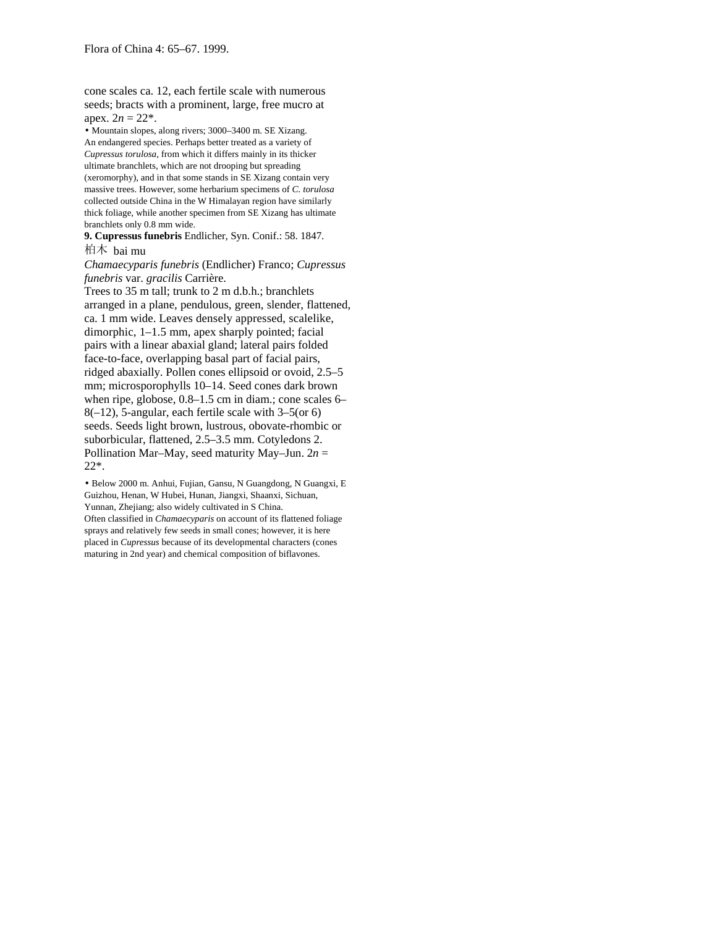cone scales ca. 12, each fertile scale with numerous seeds; bracts with a prominent, large, free mucro at apex.  $2n = 22^*$ .

• Mountain slopes, along rivers; 3000–3400 m. SE Xizang. An endangered species. Perhaps better treated as a variety of *Cupressus torulosa,* from which it differs mainly in its thicker ultimate branchlets, which are not drooping but spreading (xeromorphy), and in that some stands in SE Xizang contain very massive trees. However, some herbarium specimens of *C. torulosa* collected outside China in the W Himalayan region have similarly thick foliage, while another specimen from SE Xizang has ultimate branchlets only 0.8 mm wide.

**9. Cupressus funebris** Endlicher, Syn. Conif.: 58. 1847. 柏木 bai mu

*Chamaecyparis funebris* (Endlicher) Franco; *Cupressus funebris* var. *gracilis* Carrière.

Trees to 35 m tall; trunk to 2 m d.b.h.; branchlets arranged in a plane, pendulous, green, slender, flattened, ca. 1 mm wide. Leaves densely appressed, scalelike, dimorphic, 1–1.5 mm, apex sharply pointed; facial pairs with a linear abaxial gland; lateral pairs folded face-to-face, overlapping basal part of facial pairs, ridged abaxially. Pollen cones ellipsoid or ovoid, 2.5–5 mm; microsporophylls 10–14. Seed cones dark brown when ripe, globose, 0.8–1.5 cm in diam.; cone scales 6– 8(–12), 5-angular, each fertile scale with 3–5(or 6) seeds. Seeds light brown, lustrous, obovate-rhombic or suborbicular, flattened, 2.5–3.5 mm. Cotyledons 2. Pollination Mar–May, seed maturity May–Jun.  $2n =$ 22\*.

• Below 2000 m. Anhui, Fujian, Gansu, N Guangdong, N Guangxi, E Guizhou, Henan, W Hubei, Hunan, Jiangxi, Shaanxi, Sichuan, Yunnan, Zhejiang; also widely cultivated in S China. Often classified in *Chamaecyparis* on account of its flattened foliage sprays and relatively few seeds in small cones; however, it is here placed in *Cupressus* because of its developmental characters (cones maturing in 2nd year) and chemical composition of biflavones.